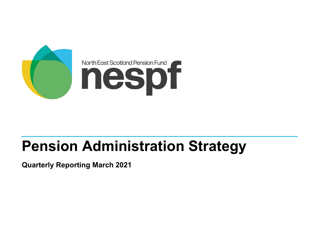

# **Pension Administration Strategy**

**Quarterly Reporting March 2021**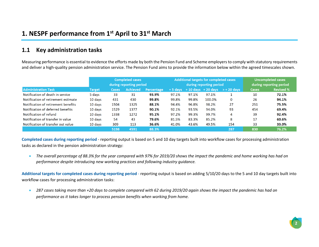#### **1.1 Key administration tasks**

Measuring performance is essential to evidence the efforts made by both the Pension Fund and Scheme employers to comply with statutory requirements and deliver a high-quality pension administration service. The Pension Fund aims to provide the information below within the agreed timescales shown.

|                                     | <b>Completed cases</b> |              |                         |                   |           |       | <b>Additional targets for completed cases</b> | <b>Uncompleted cases</b>           |              |                  |  |
|-------------------------------------|------------------------|--------------|-------------------------|-------------------|-----------|-------|-----------------------------------------------|------------------------------------|--------------|------------------|--|
|                                     |                        |              | during reporting period |                   |           |       | during reporting period                       | during reporting period            |              |                  |  |
| <b>Administration Task</b>          | <b>Target</b>          | <b>Cases</b> | <b>Achieved</b>         | <b>Percentage</b> | $+5$ davs |       |                                               | $+10$ days $+20$ days $> +20$ days | <b>Cases</b> | <b>Revised %</b> |  |
| Notification of death in service    | 5 days                 | 33           | 31                      | 93.9%             | 97.1%     | 97.1% | 97.1%                                         |                                    | 10           | 72.1%            |  |
| Notification of retirement estimate | 10 days                | 431          | 430                     | 99.8%             | 99.8%     | 99.8% | 100.0%                                        | 0                                  | 26           | 94.1%            |  |
| Notification of retirement benefits | 10 days                | 1504         | 1325                    | 88.1%             | 94.4%     | 96.8% | 98.2%                                         | 27                                 | 251          | 75.5%            |  |
| Notification of deferred benefits   | 10 days                | 1529         | 1377                    | 90.1%             | 92.1%     | 93.5% | 94.0%                                         | 93                                 | 454          | 69.4%            |  |
| Notification of refund              | 10 days                | 1338         | 1272                    | 95.1%             | 97.2%     | 99.3% | 99.7%                                         | 4                                  | 39           | 92.4%            |  |
| Notification of transfer in value   | 10 days                | 54           | 43                      | 79.6%             | 81.5%     | 83.3% | 85.2%                                         | 8                                  | 17           | 60.6%            |  |
| Notification of transfer out value  | $10$ days              | 309          | 113                     | 36.6%             | 41.0%     | 43.6% | 49.5%                                         | 154                                | 33           | 33.0%            |  |
|                                     |                        | 5198         | 4591                    | 88.3%             |           |       |                                               | 287                                | 830          | 76.2%            |  |

**Completed cases during reporting period** - reporting output is based on 5 and 10 day targets built into workflow cases for processing administration tasks as declared in the pension administration strategy:

• *The overall percentage of 88.3% for the year compared with 97% for 2019/20 shows the impact the pandemic and home working has had on performance despite introducing new working practices and following industry guidance.*

**Additional targets for completed cases during reporting period** - reporting output is based on adding 5/10/20 days to the 5 and 10 day targets built into workflow cases for processing administration tasks:

• *287 cases taking more than +20 days to complete compared with 62 during 2019/20 again shows the impact the pandemic has had on performance as it takes longer to process pension benefits when working from home.*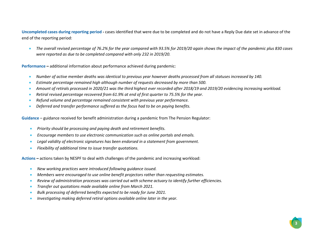**Uncompleted cases during reporting period -** cases identified that were due to be completed and do not have a Reply Due date set in advance of the end of the reporting period:

• *The overall revised percentage of 76.2% for the year compared with 93.5% for 2019/20 again shows the impact of the pandemic plus 830 cases were reported as due to be completed compared with only 232 in 2019/20.* 

**Performance –** additional information about performance achieved during pandemic:

- *Number of active member deaths was identical to previous year however deaths processed from all statuses increased by 140.*
- *Estimate percentage remained high although number of requests decreased by more than 500.*
- *Amount of retirals processed in 2020/21 was the third highest ever recorded after 2018/19 and 2019/20 evidencing increasing workload.*
- *Retiral revised percentage recovered from 61.9% at end of first quarter to 75.5% for the year.*
- *Refund volume and percentage remained consistent with previous year performance.*
- *Deferred and transfer performance suffered as the focus had to be on paying benefits.*

**Guidance** – guidance received for benefit administration during a pandemic from The Pension Regulator:

- *Priority should be processing and paying death and retirement benefits.*
- *Encourage members to use electronic communication such as online portals and emails.*
- *Legal validity of electronic signatures has been endorsed in a statement from government.*
- *Flexibility of additional time to issue transfer quotations.*

**Actions –** actions taken by NESPF to deal with challenges of the pandemic and increasing workload:

- *New working practices were introduced following guidance issued.*
- *Members were encouraged to use online benefit projectors rather than requesting estimates.*
- *Review of administration processes was carried out with scheme actuary to identify further efficiencies.*
- *Transfer out quotations made available online from March 2021.*
- *Bulk processing of deferred benefits expected to be ready for June 2021.*
- *Investigating making deferred retiral options available online later in the year.*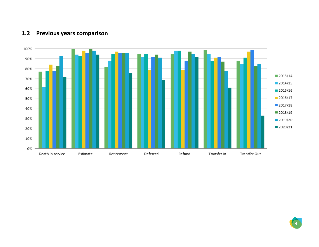## **1.2 Previous years comparison**

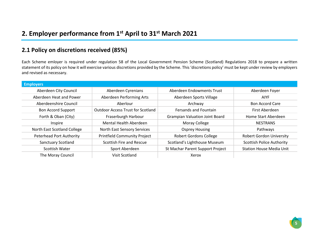### **2.1 Policy on discretions received (85%)**

Each Scheme emloyer is required under regulation 58 of the Local Government Pension Scheme (Scotland) Regulations 2018 to prepare a written statement of its policy on how it will exercise various discretions provided by the Scheme. This 'discretions policy' must be kept under review by employers and revised as necessary.

| <b>Employers</b>                |                                          |                                       |                                  |
|---------------------------------|------------------------------------------|---------------------------------------|----------------------------------|
| Aberdeen City Council           | Aberdeen Cyrenians                       | Aberdeen Endowments Trust             | Aberdeen Foyer                   |
| Aberdeen Heat and Power         | Aberdeen Performing Arts                 | Aberdeen Sports Village               | <b>AIYF</b>                      |
| Aberdeenshire Council           | Aberlour                                 | Archway                               | <b>Bon Accord Care</b>           |
| <b>Bon Accord Support</b>       | <b>Outdoor Access Trust for Scotland</b> | <b>Fersands and Fountain</b>          | First Aberdeen                   |
| Forth & Oban (City)             | Fraserburgh Harbour                      | <b>Grampian Valuation Joint Board</b> | Home Start Aberdeen              |
| Inspire                         | Mental Health Aberdeen                   | Moray College                         | <b>NESTRANS</b>                  |
| North East Scotland College     | North East Sensory Services              | <b>Osprey Housing</b>                 | Pathways                         |
| <b>Peterhead Port Authority</b> | <b>Printfield Community Project</b>      | <b>Robert Gordons College</b>         | <b>Robert Gordon University</b>  |
| <b>Sanctuary Scotland</b>       | Scottish Fire and Rescue                 | Scotland's Lighthouse Museum          | <b>Scottish Police Authority</b> |
| Scottish Water                  | Sport Aberdeen                           | St Machar Parent Support Project      | <b>Station House Media Unit</b>  |
| The Moray Council               | <b>Visit Scotland</b>                    | Xerox                                 |                                  |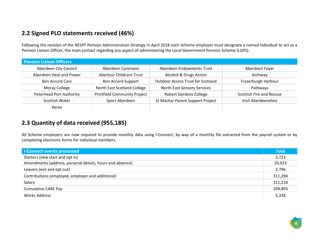### **2.2 Signed PLO statements received (46%)**

Following the revision of the NESPF Pension Administration Strategy in April 2018 each Scheme employer must designate a named individual to act as a Pension Liaison Officer, the main contact regarding any aspect of administering the Local Government Pension Scheme (LGPS).

| <b>Pension Liaison Officers</b> |                                     |                                          |                          |
|---------------------------------|-------------------------------------|------------------------------------------|--------------------------|
| Aberdeen City Council           | Aberdeen Cyrenians                  | Aberdeen Endowments Trust                | Aberdeen Foyer           |
| Aberdeen Heat and Power         | <b>Aberlour Childcare Trust</b>     | Alcohol & Drugs Action                   | Archway                  |
| <b>Bon Accord Care</b>          | <b>Bon Accord Support</b>           | <b>Outdoor Access Trust for Scotland</b> | Fraserburgh Harbour      |
| Moray College                   | North East Scotland College         | North East Sensory Services              | Pathways                 |
| <b>Peterhead Port Authority</b> | <b>Printfield Community Project</b> | <b>Robert Gordons College</b>            | Scottish Fire and Rescue |
| <b>Scottish Water</b>           | Sport Aberdeen                      | St Machar Parent Support Project         | Visit Aberdeenshire      |
| Xerox                           |                                     |                                          |                          |

#### **2.3 Quantity of data received (955,185)**

All Scheme employers are now required to provide monthly data using I-Connect, by way of a monthly file extracted from the payroll system or by completing electronic forms for individual members.

| <b>I-Connect events processed</b>                         | <b>Total</b> |
|-----------------------------------------------------------|--------------|
| Starters (new start and opt in)                           | 3,723        |
| Amendments (address, personal details, hours and absence) | 20,923       |
| Leavers (exit and opt out)                                | 2,796        |
| Contributions (employee, employer and additional)         | 311,294      |
| Salary                                                    | 311,218      |
| <b>Cumulative CARE Pay</b>                                | 299,893      |
| <b>Works Address</b>                                      | 5,338        |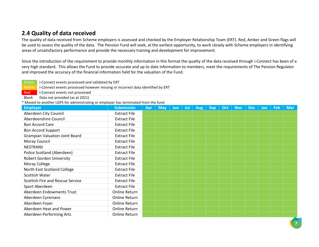#### **2.4 Quality of data received**

The quality of data received from Scheme employers is assessed and checked by the Employer Relationship Team (ERT). Red, Amber and Green flags will be used to assess the quality of the data. The Pension Fund will seek, at the earliest opportunity, to work closely with Scheme employers in identifying areas of unsatisfactory performance and provide the necessary training and development for improvement.

Since the introduction of the requirement to provide monthly information in this format the quality of the data received through i-Connect has been of a very high standard. This allows the Fund to provide accurate and up to date information to members, meet the requirements of The Pension Regulator and improved the accuracy of the financial information held for the valuation of the Fund.

| Green           | I-Connect events processed and validated by ERT                                     |                      |     |            |            |     |            |            |     |            |            |     |     |            |
|-----------------|-------------------------------------------------------------------------------------|----------------------|-----|------------|------------|-----|------------|------------|-----|------------|------------|-----|-----|------------|
| Amber           | I-Connect events processed however missing or incorrect data identified by ERT      |                      |     |            |            |     |            |            |     |            |            |     |     |            |
| Red             | I-Connect events not processed                                                      |                      |     |            |            |     |            |            |     |            |            |     |     |            |
| Blank           | Data not provided (as at 2021)                                                      |                      |     |            |            |     |            |            |     |            |            |     |     |            |
|                 | * Moved to another LGPS for administrating or employer has terminated from the fund |                      |     |            |            |     |            |            |     |            |            |     |     |            |
| <b>Employer</b> |                                                                                     | <b>Submission</b>    | Apr | <b>May</b> | <b>Jun</b> | Jul | <b>Aug</b> | <b>Sep</b> | Oct | <b>Nov</b> | <b>Dec</b> | Jan | Feb | <b>Mar</b> |
|                 | Aberdeen City Council                                                               | <b>Extract File</b>  |     |            |            |     |            |            |     |            |            |     |     |            |
|                 | Aberdeenshire Council                                                               | <b>Extract File</b>  |     |            |            |     |            |            |     |            |            |     |     |            |
|                 | <b>Bon Accord Care</b>                                                              | <b>Extract File</b>  |     |            |            |     |            |            |     |            |            |     |     |            |
|                 | <b>Bon Accord Support</b>                                                           | <b>Extract File</b>  |     |            |            |     |            |            |     |            |            |     |     |            |
|                 | <b>Grampian Valuation Joint Board</b>                                               | <b>Extract File</b>  |     |            |            |     |            |            |     |            |            |     |     |            |
|                 | Moray Council                                                                       | <b>Extract File</b>  |     |            |            |     |            |            |     |            |            |     |     |            |
| <b>NESTRANS</b> |                                                                                     | <b>Extract File</b>  |     |            |            |     |            |            |     |            |            |     |     |            |
|                 | Police Scotland (Aberdeen)                                                          | <b>Extract File</b>  |     |            |            |     |            |            |     |            |            |     |     |            |
|                 | <b>Robert Gordon University</b>                                                     | <b>Extract File</b>  |     |            |            |     |            |            |     |            |            |     |     |            |
|                 | Moray College                                                                       | <b>Extract File</b>  |     |            |            |     |            |            |     |            |            |     |     |            |
|                 | North East Scotland College                                                         | <b>Extract File</b>  |     |            |            |     |            |            |     |            |            |     |     |            |
|                 | <b>Scottish Water</b>                                                               | <b>Extract File</b>  |     |            |            |     |            |            |     |            |            |     |     |            |
|                 | Scottish Fire and Rescue Service                                                    | <b>Extract File</b>  |     |            |            |     |            |            |     |            |            |     |     |            |
|                 | Sport Aberdeen                                                                      | <b>Extract File</b>  |     |            |            |     |            |            |     |            |            |     |     |            |
|                 | Aberdeen Endowments Trust                                                           | <b>Online Return</b> |     |            |            |     |            |            |     |            |            |     |     |            |
|                 | Aberdeen Cyrenians                                                                  | <b>Online Return</b> |     |            |            |     |            |            |     |            |            |     |     |            |
|                 | Aberdeen Foyer                                                                      | <b>Online Return</b> |     |            |            |     |            |            |     |            |            |     |     |            |
|                 | Aberdeen Heat and Power                                                             | <b>Online Return</b> |     |            |            |     |            |            |     |            |            |     |     |            |
|                 | Aberdeen Performing Arts                                                            | <b>Online Return</b> |     |            |            |     |            |            |     |            |            |     |     |            |